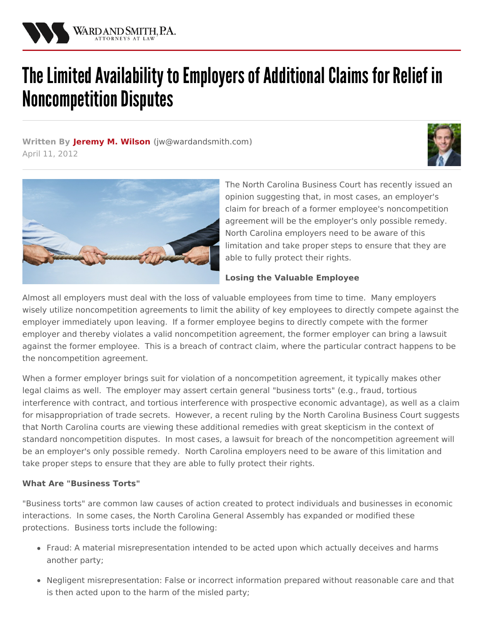

# The Limited Availability to Employers of Additional Claims for Relief in **Noncompetition Disputes**

**Written By [Jeremy](/attorneys/jeremy-wilson) M. Wilson (**[jw@wardandsmith.com](mailto:jw@wardandsmith.com)**)** April 11, 2012





The North Carolina Business Court has recently issued an opinion suggesting that, in most cases, an employer's claim for breach of a former employee's [noncompetition](http://www.wardandsmith.com/practices/labor-and-employment) agreement will be the employer's only possible remedy. North Carolina employers need to be aware of this limitation and take proper steps to ensure that they are able to fully protect their rights.

## **Losing the Valuable Employee**

Almost all employers must deal with the loss of valuable employees from time to time. Many employers wisely utilize noncompetition agreements to limit the ability of key employees to directly compete against the employer immediately upon leaving. If a former employee begins to directly compete with the former employer and thereby violates a valid noncompetition agreement, the former employer can bring a lawsuit against the former employee. This is a breach of contract claim, where the particular contract happens to be the noncompetition agreement.

When a former employer brings suit for violation of a noncompetition agreement, it typically makes other legal claims as well. The employer may assert certain general ["business](http://www.wardandsmith.com/practices/business) torts" (e.g., fraud, tortious interference with contract, and tortious interference with prospective economic advantage), as well as a claim for misappropriation of trade secrets. However, a recent ruling by the North Carolina Business Court suggests that North Carolina courts are viewing these additional remedies with great skepticism in the context of standard noncompetition disputes. In most cases, a lawsuit for breach of the noncompetition agreement will be an employer's only possible remedy. North Carolina [employers](http://www.wardandsmith.com/practices/labor-and-employment) need to be aware of this limitation and take proper steps to ensure that they are able to fully protect their rights.

#### **What Are "Business Torts"**

"Business torts" are common law causes of action created to protect individuals and businesses in economic interactions. In some cases, the North Carolina General Assembly has expanded or modified these protections. Business torts include the following:

- Fraud: A material misrepresentation intended to be acted upon which actually deceives and harms another party;
- Negligent misrepresentation: False or incorrect information prepared without reasonable care and that is then acted upon to the harm of the misled party;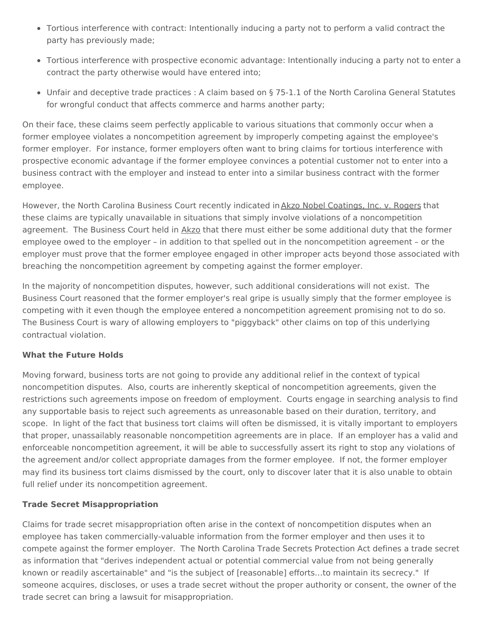- Tortious interference with contract: Intentionally inducing a party not to perform a valid contract the party has previously made;
- Tortious interference with prospective economic advantage: Intentionally inducing a party not to enter a contract the party otherwise would have entered into;
- Unfair and deceptive trade practices : A claim based on § 75-1.1 of the North Carolina General Statutes for wrongful conduct that affects commerce and harms another party;

On their face, these claims seem perfectly applicable to various situations that commonly occur when a former employee violates a noncompetition agreement by improperly competing against the employee's former employer. For instance, former employers often want to bring claims for tortious interference with prospective economic advantage if the former employee convinces a potential customer not to enter into a business contract with the employer and instead to enter into a similar business contract with the former employee.

However, the North Carolina Business Court recently indicated in Akzo Nobel Coatings, Inc. v. Rogers that these claims are typically unavailable in situations that simply involve violations of a noncompetition agreement. The Business Court held in Akzo that there must either be some additional duty that the former employee owed to the employer – in addition to that spelled out in the noncompetition agreement – or the employer must prove that the former employee engaged in other improper acts beyond those associated with breaching the noncompetition agreement by competing against the former employer.

In the majority of noncompetition disputes, however, such additional considerations will not exist. The Business Court reasoned that the former employer's real gripe is usually simply that the former employee is competing with it even though the employee entered a noncompetition agreement promising not to do so. The Business Court is wary of allowing employers to "piggyback" other claims on top of this underlying contractual violation.

## **What the Future Holds**

Moving forward, business torts are not going to provide any additional relief in the context of typical noncompetition disputes. Also, courts are inherently skeptical of noncompetition agreements, given the restrictions such agreements impose on freedom of employment. Courts engage in searching analysis to find any supportable basis to reject such agreements as unreasonable based on their duration, territory, and scope. In light of the fact that business tort claims will often be dismissed, it is vitally important to employers that proper, unassailably reasonable noncompetition agreements are in place. If an employer has a valid and enforceable noncompetition agreement, it will be able to successfully assert its right to stop any violations of the agreement and/or collect appropriate damages from the former employee. If not, the former employer may find its business tort claims dismissed by the court, only to discover later that it is also unable to obtain full relief under its noncompetition agreement.

## **Trade Secret Misappropriation**

Claims for trade secret misappropriation often arise in the context of noncompetition disputes when an employee has taken commercially-valuable information from the former employer and then uses it to compete against the former employer. The North Carolina Trade Secrets Protection Act defines a trade secret as information that "derives independent actual or potential commercial value from not being generally known or readily ascertainable" and "is the subject of [reasonable] efforts…to maintain its secrecy." If someone acquires, discloses, or uses a trade secret without the proper authority or consent, the owner of the trade secret can bring a lawsuit for misappropriation.